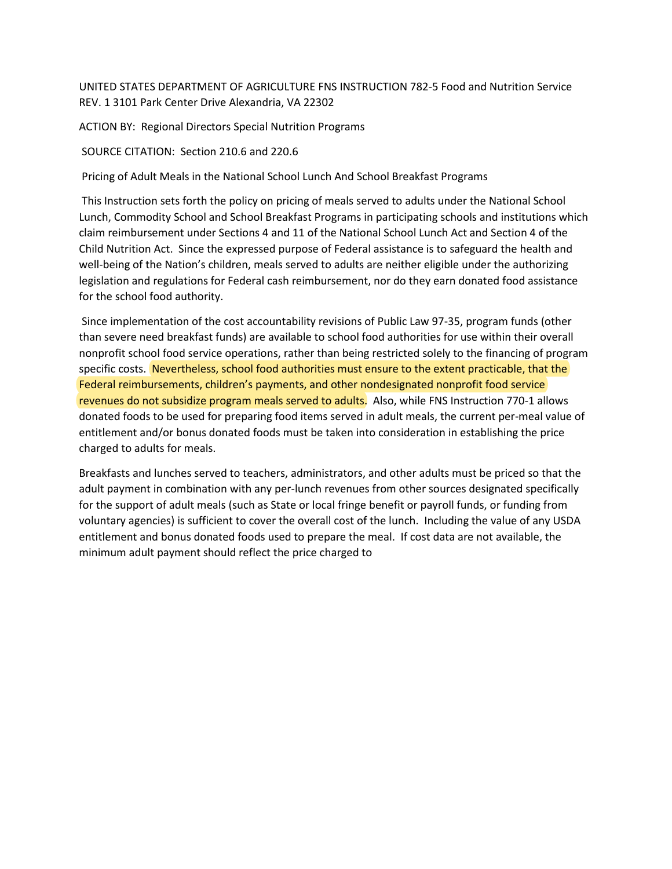UNITED STATES DEPARTMENT OF AGRICULTURE FNS INSTRUCTION 782-5 Food and Nutrition Service REV. 1 3101 Park Center Drive Alexandria, VA 22302

ACTION BY: Regional Directors Special Nutrition Programs

SOURCE CITATION: Section 210.6 and 220.6

Pricing of Adult Meals in the National School Lunch And School Breakfast Programs

This Instruction sets forth the policy on pricing of meals served to adults under the National School Lunch, Commodity School and School Breakfast Programs in participating schools and institutions which claim reimbursement under Sections 4 and 11 of the National School Lunch Act and Section 4 of the Child Nutrition Act. Since the expressed purpose of Federal assistance is to safeguard the health and well-being of the Nation's children, meals served to adults are neither eligible under the authorizing legislation and regulations for Federal cash reimbursement, nor do they earn donated food assistance for the school food authority.

Since implementation of the cost accountability revisions of Public Law 97-35, program funds (other than severe need breakfast funds) are available to school food authorities for use within their overall nonprofit school food service operations, rather than being restricted solely to the financing of program specific costs. Nevertheless, school food authorities must ensure to the extent practicable, that the Federal reimbursements, children's payments, and other nondesignated nonprofit food service revenues do not subsidize program meals served to adults. Also, while FNS Instruction 770-1 allows donated foods to be used for preparing food items served in adult meals, the current per-meal value of entitlement and/or bonus donated foods must be taken into consideration in establishing the price charged to adults for meals.

Breakfasts and lunches served to teachers, administrators, and other adults must be priced so that the adult payment in combination with any per-lunch revenues from other sources designated specifically for the support of adult meals (such as State or local fringe benefit or payroll funds, or funding from voluntary agencies) is sufficient to cover the overall cost of the lunch. Including the value of any USDA entitlement and bonus donated foods used to prepare the meal. If cost data are not available, the minimum adult payment should reflect the price charged to